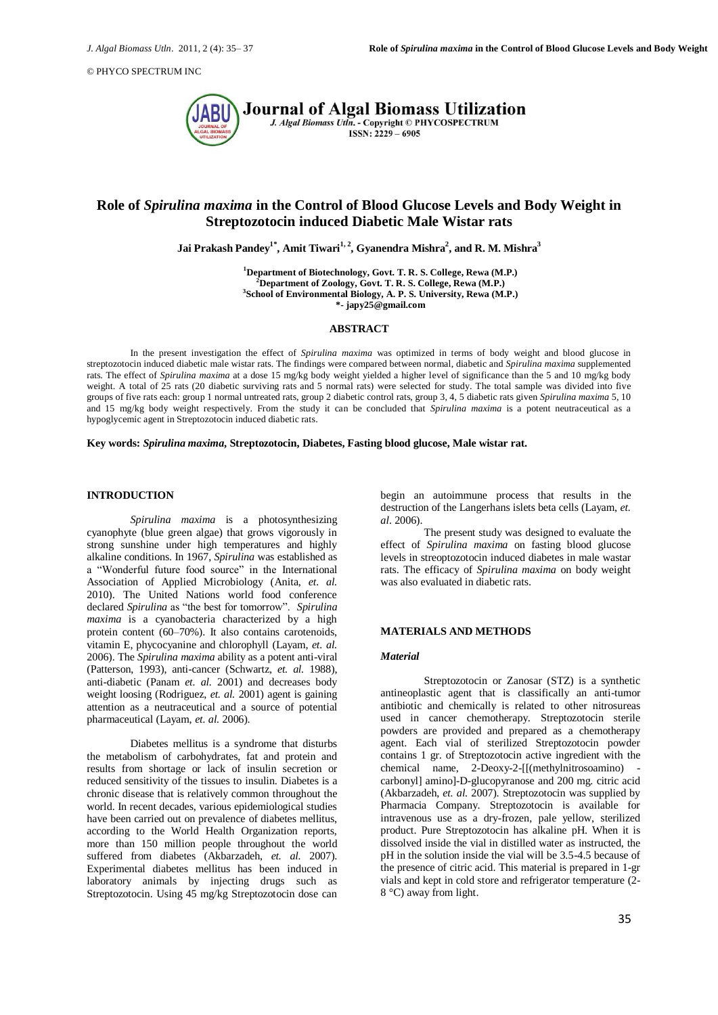© PHYCO SPECTRUM INC



# **Role of** *Spirulina maxima* **in the Control of Blood Glucose Levels and Body Weight in Streptozotocin induced Diabetic Male Wistar rats**

**Jai Prakash Pandey1\* , Amit Tiwari1, 2 , Gyanendra Mishra<sup>2</sup> , and R. M. Mishra<sup>3</sup>**

**Department of Biotechnology, Govt. T. R. S. College, Rewa (M.P.) Department of Zoology, Govt. T. R. S. College, Rewa (M.P.) School of Environmental Biology, A. P. S. University, Rewa (M.P.) \*- japy25@gmail.com**

# **ABSTRACT**

In the present investigation the effect of *Spirulina maxima* was optimized in terms of body weight and blood glucose in streptozotocin induced diabetic male wistar rats. The findings were compared between normal, diabetic and *Spirulina maxima* supplemented rats. The effect of *Spirulina maxima* at a dose 15 mg/kg body weight yielded a higher level of significance than the 5 and 10 mg/kg body weight. A total of 25 rats (20 diabetic surviving rats and 5 normal rats) were selected for study. The total sample was divided into five groups of five rats each: group 1 normal untreated rats, group 2 diabetic control rats, group 3, 4, 5 diabetic rats given *Spirulina maxima* 5, 10 and 15 mg/kg body weight respectively. From the study it can be concluded that *Spirulina maxima* is a potent neutraceutical as a hypoglycemic agent in Streptozotocin induced diabetic rats.

#### **Key words:** *Spirulina maxima***, Streptozotocin, Diabetes, Fasting blood glucose, Male wistar rat.**

# **INTRODUCTION**

*Spirulina maxima* is a photosynthesizing cyanophyte (blue green algae) that grows vigorously in strong sunshine under high temperatures and highly alkaline conditions. In 1967, *Spirulina* was established as a "Wonderful future food source" in the International Association of Applied Microbiology (Anita, *et. al.* 2010). The United Nations world food conference declared *Spirulina* as "the best for tomorrow". *Spirulina maxima* is a cyanobacteria characterized by a high protein content (60–70%). It also contains carotenoids, vitamin E, phycocyanine and chlorophyll (Layam, *et. al.* 2006). The *Spirulina maxima* ability as a potent anti-viral (Patterson, 1993), anti-cancer (Schwartz, *et. al.* 1988), anti-diabetic (Panam *et. al.* 2001) and decreases body weight loosing (Rodriguez, *et. al.* 2001) agent is gaining attention as a neutraceutical and a source of potential pharmaceutical (Layam, *et. al.* 2006).

Diabetes mellitus is a syndrome that disturbs the metabolism of carbohydrates, fat and protein and results from shortage or lack of insulin secretion or reduced sensitivity of the tissues to insulin. Diabetes is a chronic disease that is relatively common throughout the world. In recent decades, various epidemiological studies have been carried out on prevalence of diabetes mellitus, according to the World Health Organization reports, more than 150 million people throughout the world suffered from diabetes (Akbarzadeh, *et. al.* 2007). Experimental diabetes mellitus has been induced in laboratory animals by injecting drugs such as Streptozotocin. Using 45 mg/kg Streptozotocin dose can

begin an autoimmune process that results in the destruction of the Langerhans islets beta cells (Layam, *et. al.* 2006).

The present study was designed to evaluate the effect of *Spirulina maxima* on fasting blood glucose levels in streoptozotocin induced diabetes in male wastar rats. The efficacy of *Spirulina maxima* on body weight was also evaluated in diabetic rats.

#### **MATERIALS AND METHODS**

# *Material*

Streptozotocin or Zanosar (STZ) is a synthetic antineoplastic agent that is classifically an anti-tumor antibiotic and chemically is related to other nitrosureas used in cancer chemotherapy. Streptozotocin sterile powders are provided and prepared as a chemotherapy agent. Each vial of sterilized Streptozotocin powder contains 1 gr. of Streptozotocin active ingredient with the chemical name, 2-Deoxy-2-[[(methylnitrosoamino) carbonyl] amino]-D-glucopyranose and 200 mg. citric acid (Akbarzadeh, *et. al.* 2007). Streptozotocin was supplied by Pharmacia Company. Streptozotocin is available for intravenous use as a dry-frozen, pale yellow, sterilized product. Pure Streptozotocin has alkaline pH. When it is dissolved inside the vial in distilled water as instructed, the pH in the solution inside the vial will be 3.5-4.5 because of the presence of citric acid. This material is prepared in 1-gr vials and kept in cold store and refrigerator temperature (2- 8 °C) away from light.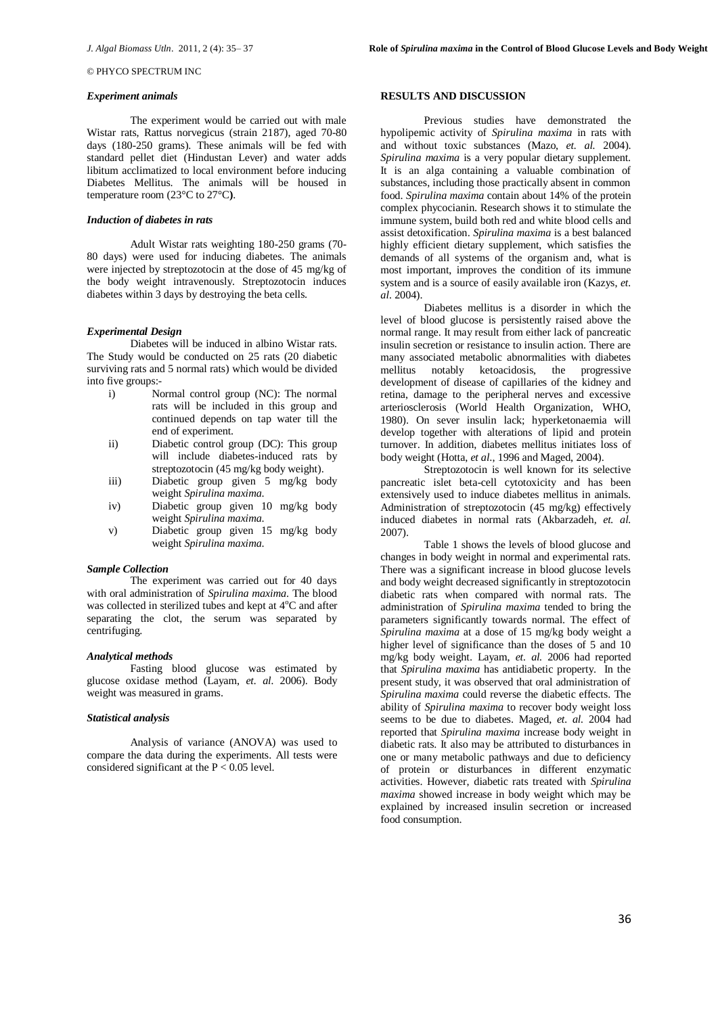# © PHYCO SPECTRUM INC

#### *Experiment animals*

The experiment would be carried out with male Wistar rats, Rattus norvegicus (strain 2187), aged 70-80 days (180-250 grams). These animals will be fed with standard pellet diet (Hindustan Lever) and water adds libitum acclimatized to local environment before inducing Diabetes Mellitus. The animals will be housed in temperature room (23°C to 27°C**)**.

## *Induction of diabetes in rats*

Adult Wistar rats weighting 180-250 grams (70- 80 days) were used for inducing diabetes. The animals were injected by streptozotocin at the dose of 45 mg/kg of the body weight intravenously. Streptozotocin induces diabetes within 3 days by destroying the beta cells.

#### *Experimental Design*

Diabetes will be induced in albino Wistar rats. The Study would be conducted on 25 rats (20 diabetic surviving rats and 5 normal rats) which would be divided into five groups:-

- i) Normal control group (NC): The normal rats will be included in this group and continued depends on tap water till the end of experiment.
- ii) Diabetic control group (DC): This group will include diabetes-induced rats by streptozotocin (45 mg/kg body weight).
- iii) Diabetic group given 5 mg/kg body weight *Spirulina maxima*.
- iv) Diabetic group given 10 mg/kg body weight *Spirulina maxima*.
- v) Diabetic group given 15 mg/kg body weight *Spirulina maxima*.

#### *Sample Collection*

The experiment was carried out for 40 days with oral administration of *Spirulina maxima*. The blood was collected in sterilized tubes and kept at  $4^{\circ}$ C and after separating the clot, the serum was separated by centrifuging.

#### *Analytical methods*

Fasting blood glucose was estimated by glucose oxidase method (Layam, *et. al.* 2006). Body weight was measured in grams.

# *Statistical analysis*

Analysis of variance (ANOVA) was used to compare the data during the experiments. All tests were considered significant at the  $P < 0.05$  level.

#### **RESULTS AND DISCUSSION**

Previous studies have demonstrated the hypolipemic activity of *Spirulina maxima* in rats with and without toxic substances (Mazo, *et. al.* 2004). *Spirulina maxima* is a very popular dietary supplement. It is an alga containing a valuable combination of substances, including those practically absent in common food. *Spirulina maxima* contain about 14% of the protein complex phycocianin. Research shows it to stimulate the immune system, build both red and white blood cells and assist detoxification. *Spirulina maxima* is a best balanced highly efficient dietary supplement, which satisfies the demands of all systems of the organism and, what is most important, improves the condition of its immune system and is a source of easily available iron (Kazys, *et. al.* 2004).

Diabetes mellitus is a disorder in which the level of blood glucose is persistently raised above the normal range. It may result from either lack of pancreatic insulin secretion or resistance to insulin action. There are many associated metabolic abnormalities with diabetes mellitus notably ketoacidosis, the progressive development of disease of capillaries of the kidney and retina, damage to the peripheral nerves and excessive arteriosclerosis (World Health Organization, WHO, 1980). On sever insulin lack; hyperketonaemia will develop together with alterations of lipid and protein turnover. In addition, diabetes mellitus initiates loss of body weight (Hotta, *et al*., 1996 and Maged, 2004).

Streptozotocin is well known for its selective pancreatic islet beta-cell cytotoxicity and has been extensively used to induce diabetes mellitus in animals. Administration of streptozotocin (45 mg/kg) effectively induced diabetes in normal rats (Akbarzadeh, *et. al.*  2007).

Table 1 shows the levels of blood glucose and changes in body weight in normal and experimental rats. There was a significant increase in blood glucose levels and body weight decreased significantly in streptozotocin diabetic rats when compared with normal rats. The administration of *Spirulina maxima* tended to bring the parameters significantly towards normal. The effect of *Spirulina maxima* at a dose of 15 mg/kg body weight a higher level of significance than the doses of 5 and 10 mg/kg body weight. Layam, *et. al.* 2006 had reported that *Spirulina maxima* has antidiabetic property. In the present study, it was observed that oral administration of *Spirulina maxima* could reverse the diabetic effects. The ability of *Spirulina maxima* to recover body weight loss seems to be due to diabetes. Maged, *et. al.* 2004 had reported that *Spirulina maxima* increase body weight in diabetic rats. It also may be attributed to disturbances in one or many metabolic pathways and due to deficiency of protein or disturbances in different enzymatic activities. However, diabetic rats treated with *Spirulina maxima* showed increase in body weight which may be explained by increased insulin secretion or increased food consumption.